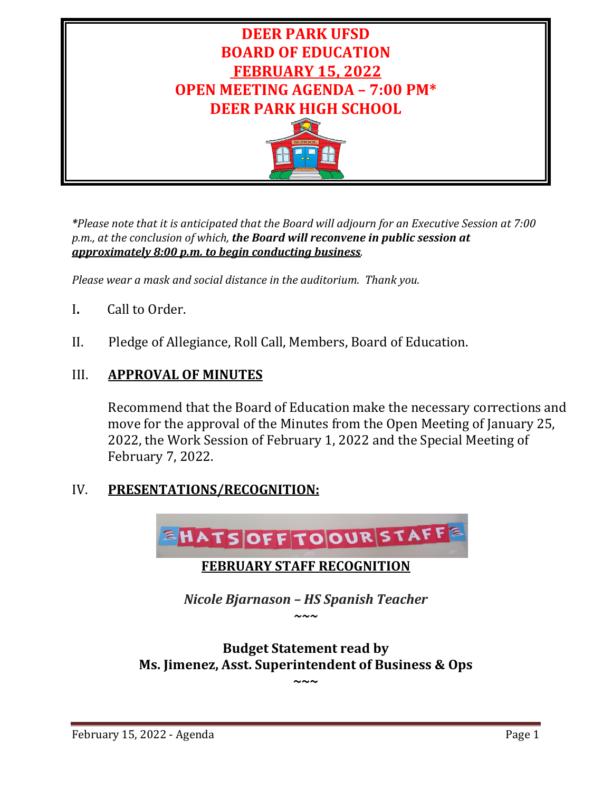

*\*Please note that it is anticipated that the Board will adjourn for an Executive Session at 7:00 p.m., at the conclusion of which, the Board will reconvene in public session at approximately 8:00 p.m. to begin conducting business.*

*Please wear a mask and social distance in the auditorium. Thank you.*

- I**.** Call to Order.
- II. Pledge of Allegiance, Roll Call, Members, Board of Education.

## III. **APPROVAL OF MINUTES**

Recommend that the Board of Education make the necessary corrections and move for the approval of the Minutes from the Open Meeting of January 25, 2022, the Work Session of February 1, 2022 and the Special Meeting of February 7, 2022.

## IV. **PRESENTATIONS/RECOGNITION:**



**Budget Statement read by Ms. Jimenez, Asst. Superintendent of Business & Ops**

**~~~**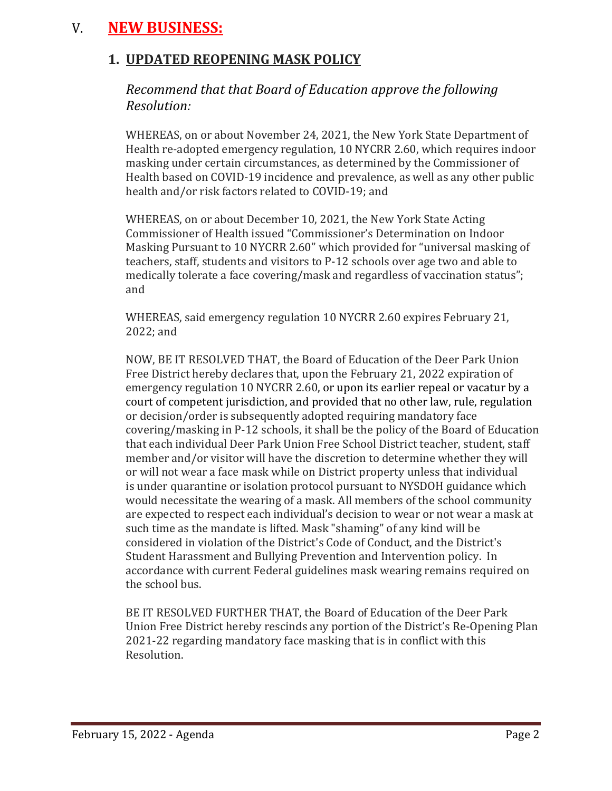# V. **NEW BUSINESS:**

## **1. UPDATED REOPENING MASK POLICY**

## *Recommend that that Board of Education approve the following Resolution:*

WHEREAS, on or about November 24, 2021, the New York State Department of Health re-adopted emergency regulation, 10 NYCRR 2.60, which requires indoor masking under certain circumstances, as determined by the Commissioner of Health based on COVID-19 incidence and prevalence, as well as any other public health and/or risk factors related to COVID-19; and

WHEREAS, on or about December 10, 2021, the New York State Acting Commissioner of Health issued "Commissioner's Determination on Indoor Masking Pursuant to 10 NYCRR 2.60" which provided for "universal masking of teachers, staff, students and visitors to P-12 schools over age two and able to medically tolerate a face covering/mask and regardless of vaccination status"; and

WHEREAS, said emergency regulation 10 NYCRR 2.60 expires February 21, 2022; and

NOW, BE IT RESOLVED THAT, the Board of Education of the Deer Park Union Free District hereby declares that, upon the February 21, 2022 expiration of emergency regulation 10 NYCRR 2.60, or upon its earlier repeal or vacatur by a court of competent jurisdiction, and provided that no other law, rule, regulation or decision/order is subsequently adopted requiring mandatory face covering/masking in P-12 schools, it shall be the policy of the Board of Education that each individual Deer Park Union Free School District teacher, student, staff member and/or visitor will have the discretion to determine whether they will or will not wear a face mask while on District property unless that individual is under quarantine or isolation protocol pursuant to NYSDOH guidance which would necessitate the wearing of a mask. All members of the school community are expected to respect each individual's decision to wear or not wear a mask at such time as the mandate is lifted. Mask "shaming" of any kind will be considered in violation of the District's Code of Conduct, and the District's Student Harassment and Bullying Prevention and Intervention policy. In accordance with current Federal guidelines mask wearing remains required on the school bus.

BE IT RESOLVED FURTHER THAT, the Board of Education of the Deer Park Union Free District hereby rescinds any portion of the District's Re-Opening Plan 2021-22 regarding mandatory face masking that is in conflict with this Resolution.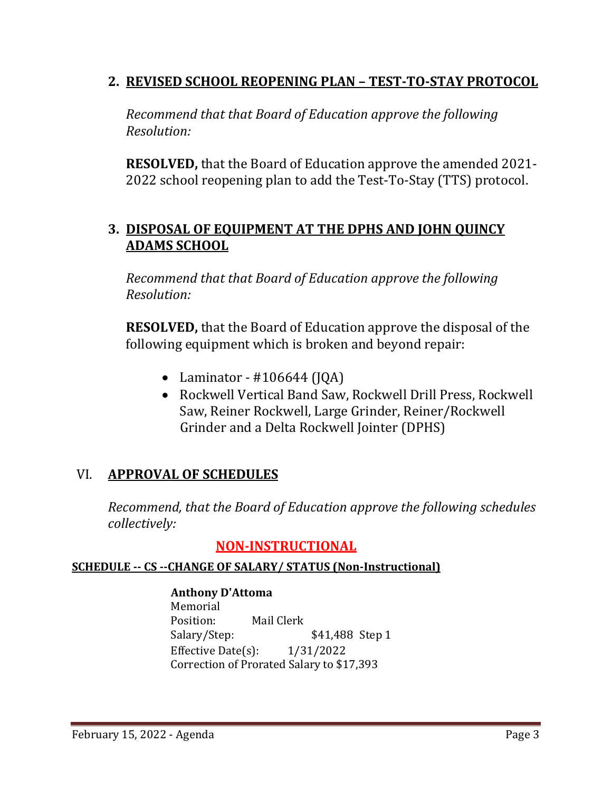## **2. REVISED SCHOOL REOPENING PLAN – TEST-TO-STAY PROTOCOL**

*Recommend that that Board of Education approve the following Resolution:*

**RESOLVED,** that the Board of Education approve the amended 2021- 2022 school reopening plan to add the Test-To-Stay (TTS) protocol.

## **3. DISPOSAL OF EQUIPMENT AT THE DPHS AND JOHN QUINCY ADAMS SCHOOL**

*Recommend that that Board of Education approve the following Resolution:*

**RESOLVED,** that the Board of Education approve the disposal of the following equipment which is broken and beyond repair:

- Laminator  $\#106644$  (JQA)
- Rockwell Vertical Band Saw, Rockwell Drill Press, Rockwell Saw, Reiner Rockwell, Large Grinder, Reiner/Rockwell Grinder and a Delta Rockwell Jointer (DPHS)

## VI. **APPROVAL OF SCHEDULES**

*Recommend, that the Board of Education approve the following schedules collectively:*

## **NON-INSTRUCTIONAL**

## **SCHEDULE -- CS --CHANGE OF SALARY/ STATUS (Non-Instructional)**

**Anthony D'Attoma** Memorial<br>Position: Position: Mail Clerk<br>Salary/Step: \$41,488 Step 1 Effective Date(s): 1/31/2022 Correction of Prorated Salary to \$17,393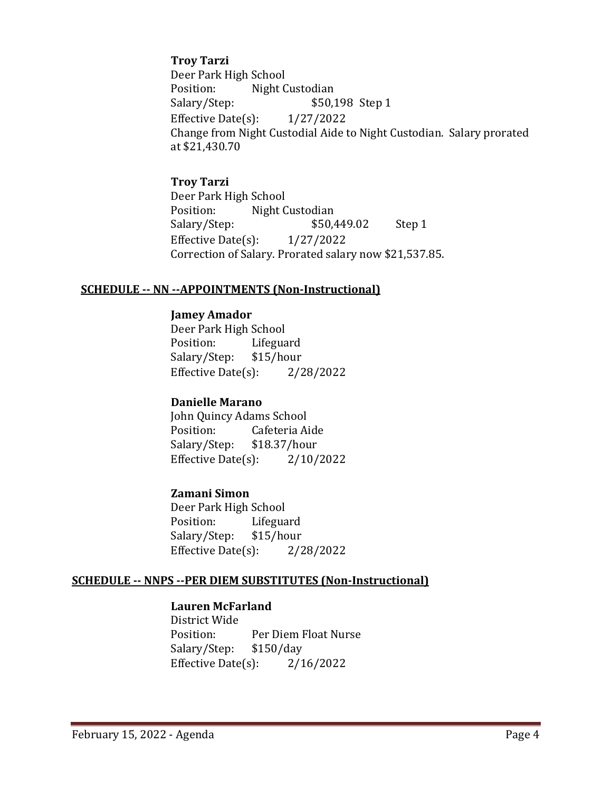#### **Troy Tarzi**

Deer Park High School<br>Position: Night C Night Custodian Salary/Step: \$50,198 Step 1<br>Effective Date(s): 1/27/2022 Effective Date $(s)$ : Change from Night Custodial Aide to Night Custodian. Salary prorated at \$21,430.70

#### **Troy Tarzi**

Deer Park High School Night Custodian<br>\$50,449.02 Salary/Step: \$50,449.02 Step 1 Effective Date(s): 1/27/2022 Correction of Salary. Prorated salary now \$21,537.85.

#### **SCHEDULE -- NN --APPOINTMENTS (Non-Instructional)**

#### **Jamey Amador**

Deer Park High School Lifeguard<br>\$15/hour Salary/Step: Effective Date(s): 2/28/2022

## **Danielle Marano**

John Quincy Adams School<br>Position: Cafeteria Ai Cafeteria Aide<br>\$18.37/hour Salary/Step: Effective Date(s): 2/10/2022

## **Zamani Simon**

Deer Park High School<br>Position: Lifegua Lifeguard<br>\$15/hour Salary/Step: \$15/hour<br>Effective Date(s): 2/28/2022 Effective Date $(s)$ :

## **SCHEDULE -- NNPS --PER DIEM SUBSTITUTES (Non-Instructional)**

#### **Lauren McFarland**

District Wide Per Diem Float Nurse<br>\$150/day Salary/Step: \$150/day<br>Effective Date(s): 2/16/2022 Effective Date $(s)$ :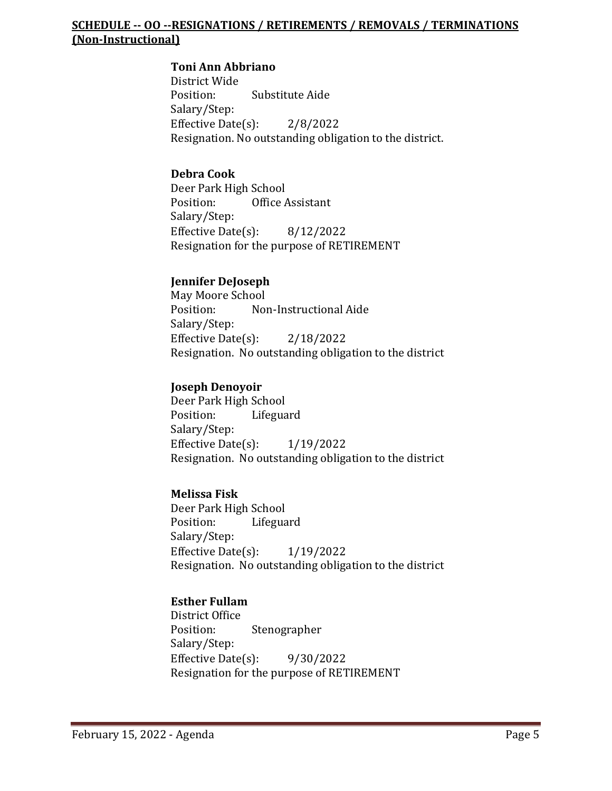## **SCHEDULE -- OO --RESIGNATIONS / RETIREMENTS / REMOVALS / TERMINATIONS (Non-Instructional)**

## **Toni Ann Abbriano**

District Wide Substitute Aide Salary/Step: Effective Date(s): 2/8/2022 Resignation. No outstanding obligation to the district.

## **Debra Cook**

Deer Park High School<br>Position: Office Office Assistant Salary/Step: Effective Date(s): 8/12/2022 Resignation for the purpose of RETIREMENT

## **Jennifer DeJoseph**

May Moore School<br>Position: Nor Non-Instructional Aide Salary/Step: Effective Date(s): 2/18/2022 Resignation. No outstanding obligation to the district

## **Joseph Denoyoir**

Deer Park High School<br>Position: Lifegua Lifeguard Salary/Step: Effective Date(s): 1/19/2022 Resignation. No outstanding obligation to the district

## **Melissa Fisk**

Deer Park High School<br>Position: Lifegua Lifeguard Salary/Step: Effective Date(s): 1/19/2022 Resignation. No outstanding obligation to the district

## **Esther Fullam**

District Office<br>Position: Stenographer Salary/Step: Effective Date(s): 9/30/2022 Resignation for the purpose of RETIREMENT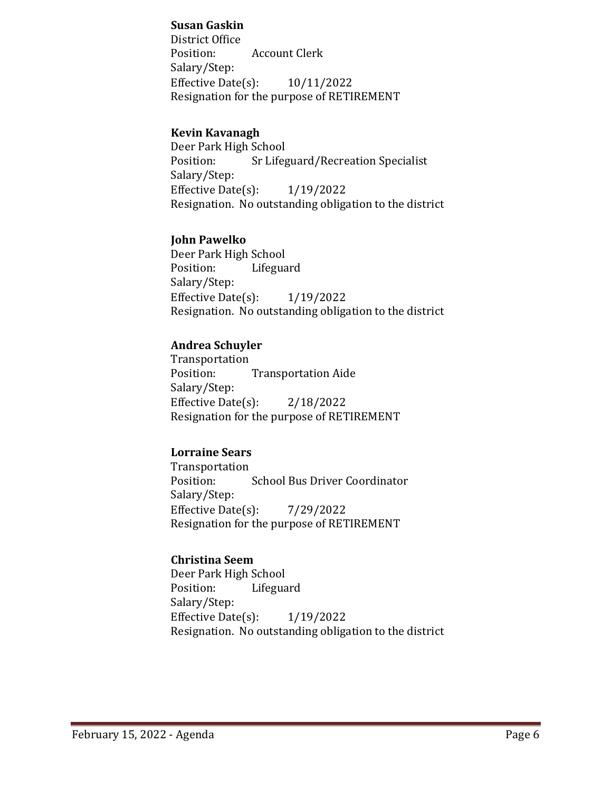## **Susan Gaskin**

District Office Position: Account Clerk Salary/Step: Effective Date(s): 10/11/2022 Resignation for the purpose of RETIREMENT

## **Kevin Kavanagh**

Deer Park High School<br>Position: Sr Lifes **Sr Lifeguard/Recreation Specialist** Salary/Step: Effective Date(s): 1/19/2022 Resignation. No outstanding obligation to the district

## **John Pawelko**

Deer Park High School<br>Position: Lifegua Lifeguard Salary/Step: Effective Date(s): 1/19/2022 Resignation. No outstanding obligation to the district

## **Andrea Schuyler**

Transportation<br>Position: **Transportation Aide** Salary/Step: Effective Date(s): 2/18/2022 Resignation for the purpose of RETIREMENT

## **Lorraine Sears**

Transportation School Bus Driver Coordinator Salary/Step: Effective Date(s): 7/29/2022 Resignation for the purpose of RETIREMENT

## **Christina Seem**

Deer Park High School<br>Position: Lifegua Lifeguard Salary/Step: Effective Date(s): 1/19/2022 Resignation. No outstanding obligation to the district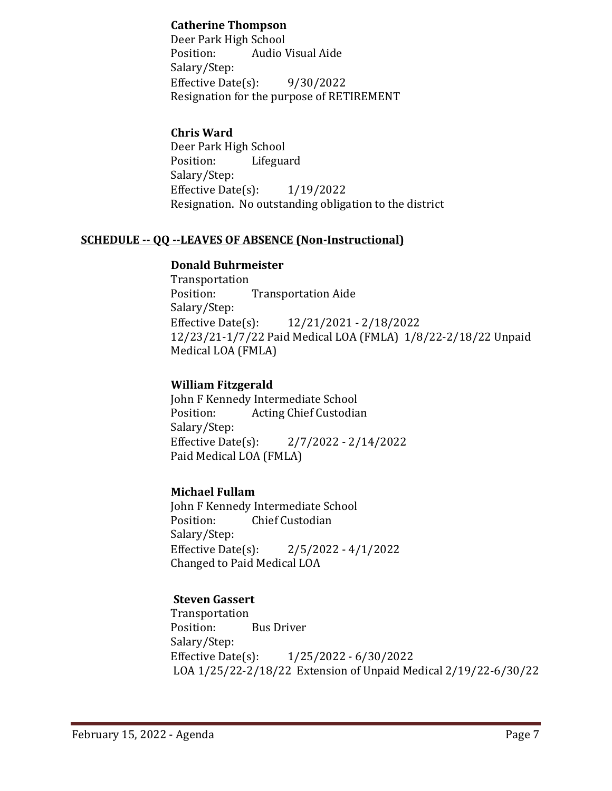## **Catherine Thompson**

Deer Park High School<br>Position: Audio V Audio Visual Aide Salary/Step: Effective Date(s): 9/30/2022 Resignation for the purpose of RETIREMENT

## **Chris Ward**

Deer Park High School Lifeguard Salary/Step: Effective Date(s): 1/19/2022 Resignation. No outstanding obligation to the district

## **SCHEDULE -- QQ --LEAVES OF ABSENCE (Non-Instructional)**

## **Donald Buhrmeister**

Transportation<br>Position: **Transportation Aide** Salary/Step:<br>Effective Date(s): Effective Date(s): 12/21/2021 - 2/18/2022 12/23/21-1/7/22 Paid Medical LOA (FMLA) 1/8/22-2/18/22 Unpaid Medical LOA (FMLA)

## **William Fitzgerald**

John F Kennedy Intermediate School<br>Position: Acting Chief Custodia Acting Chief Custodian Salary/Step:<br>Effective Date(s):  $2/7/2022 - 2/14/2022$ Paid Medical LOA (FMLA)

## **Michael Fullam**

John F Kennedy Intermediate School<br>Position: Chief Custodian **Chief Custodian** Salary/Step:<br>Effective Date(s):  $2/5/2022 - 4/1/2022$ Changed to Paid Medical LOA

## **Steven Gassert**

Transportation<br>Position: **Bus Driver** Salary/Step:<br>Effective Date(s): Effective Date(s): 1/25/2022 - 6/30/2022 LOA 1/25/22-2/18/22 Extension of Unpaid Medical 2/19/22-6/30/22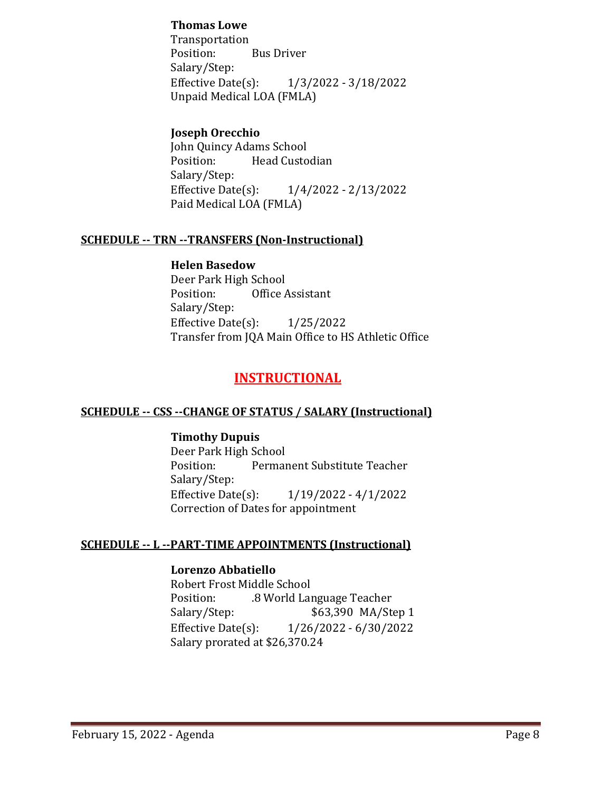## **Thomas Lowe**

Transportation<br>Position: Bus Driver Salary/Step:<br>Effective Date(s): Effective Date(s): 1/3/2022 - 3/18/2022 Unpaid Medical LOA (FMLA)

## **Joseph Orecchio**

John Quincy Adams School<br>Position: Head Custo Head Custodian Salary/Step:<br>Effective Date(s): Effective Date(s): 1/4/2022 - 2/13/2022 Paid Medical LOA (FMLA)

## **SCHEDULE -- TRN --TRANSFERS (Non-Instructional)**

#### **Helen Basedow**

Deer Park High School<br>Position: Office **Office Assistant** Salary/Step: Effective Date(s): 1/25/2022 Transfer from JQA Main Office to HS Athletic Office

## **INSTRUCTIONAL**

## **SCHEDULE -- CSS --CHANGE OF STATUS / SALARY (Instructional)**

#### **Timothy Dupuis**

Deer Park High School<br>Position: Permai Permanent Substitute Teacher Salary/Step:<br>Effective Date(s):  $1/19/2022 - 4/1/2022$ Correction of Dates for appointment

#### **SCHEDULE -- L --PART-TIME APPOINTMENTS (Instructional)**

#### **Lorenzo Abbatiello**

Robert Frost Middle School<br>Position: .8 World Lar Position: .8 World Language Teacher Salary/Step: \$63,390 MA/Step 1<br>Effective Date(s): 1/26/2022 - 6/30/2022 Effective Date(s): 1/26/2022 - 6/30/2022 Salary prorated at \$26,370.24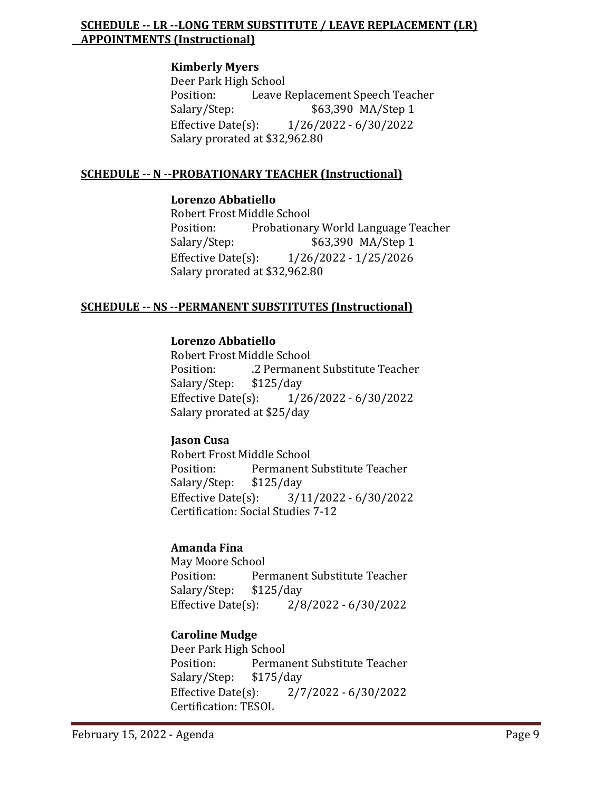## **SCHEDULE -- LR --LONG TERM SUBSTITUTE / LEAVE REPLACEMENT (LR) APPOINTMENTS (Instructional)**

#### **Kimberly Myers**

Deer Park High School<br>Position: Leave I Position: Leave Replacement Speech Teacher<br>Salary/Step: \$63,390 MA/Step 1 \$63,390 MA/Step 1 Effective Date(s): 1/26/2022 - 6/30/2022 Salary prorated at \$32,962.80

## **SCHEDULE -- N --PROBATIONARY TEACHER (Instructional)**

#### **Lorenzo Abbatiello**

Robert Frost Middle School Position: Probationary World Language Teacher<br>Salary/Step: \$63,390 MA/Step 1 \$63,390 MA/Step 1 Effective Date(s): 1/26/2022 - 1/25/2026 Salary prorated at \$32,962.80

## **SCHEDULE -- NS --PERMANENT SUBSTITUTES (Instructional)**

## **Lorenzo Abbatiello**

Robert Frost Middle School .2 Permanent Substitute Teacher<br>\$125/day Salary/Step: \$1<br>Effective Date(s): Effective Date(s): 1/26/2022 - 6/30/2022 Salary prorated at \$25/day

## **Jason Cusa**

Robert Frost Middle School<br>Position: Permanent ! Permanent Substitute Teacher<br>\$125/day Salary/Step: \$1.<br>Effective Date(s): Effective Date(s): 3/11/2022 - 6/30/2022 Certification: Social Studies 7-12

## **Amanda Fina**

May Moore School<br>Position: Per Permanent Substitute Teacher<br>\$125/day Salary/Step:  $$125$ <br>Effective Date(s):  $2/8/2022 - 6/30/2022$ 

## **Caroline Mudge**

Deer Park High School<br>Position: Permai Permanent Substitute Teacher<br>\$175/day Salary/Step: \$1<br>Effective Date(s): Effective Date(s): 2/7/2022 - 6/30/2022 Certification: TESOL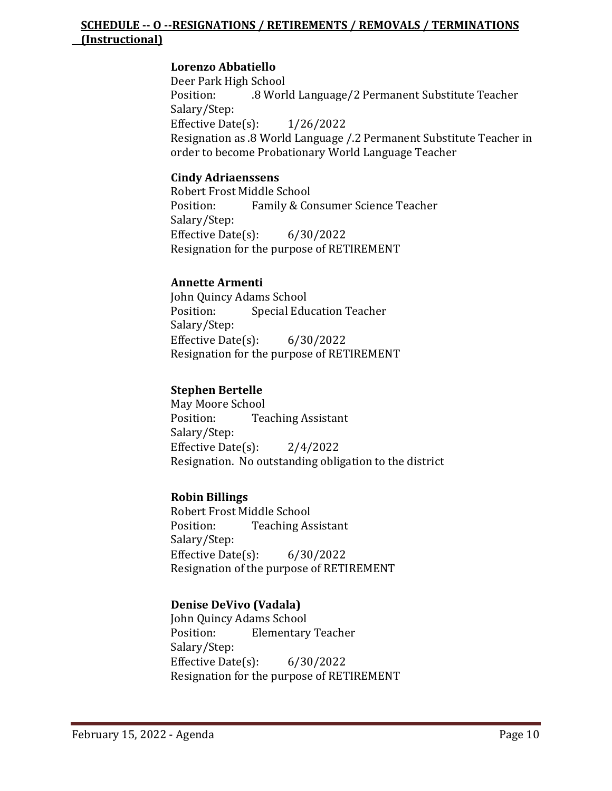## **SCHEDULE -- O --RESIGNATIONS / RETIREMENTS / REMOVALS / TERMINATIONS (Instructional)**

## **Lorenzo Abbatiello**

Deer Park High School .8 World Language/2 Permanent Substitute Teacher Salary/Step: Effective Date(s): 1/26/2022 Resignation as .8 World Language /.2 Permanent Substitute Teacher in order to become Probationary World Language Teacher

## **Cindy Adriaenssens**

Robert Frost Middle School<br>Position: Family & Co Family & Consumer Science Teacher Salary/Step: Effective Date(s): 6/30/2022 Resignation for the purpose of RETIREMENT

## **Annette Armenti**

John Quincy Adams School<br>Position: Special Edu **Special Education Teacher** Salary/Step: Effective Date(s): 6/30/2022 Resignation for the purpose of RETIREMENT

## **Stephen Bertelle**

May Moore School<br>Position: Tea **Teaching Assistant** Salary/Step: Effective Date(s): 2/4/2022 Resignation. No outstanding obligation to the district

## **Robin Billings**

Robert Frost Middle School<br>Position: Teaching As **Teaching Assistant** Salary/Step: Effective Date(s): 6/30/2022 Resignation of the purpose of RETIREMENT

## **Denise DeVivo (Vadala)**

John Quincy Adams School **Elementary Teacher** Salary/Step: Effective Date(s): 6/30/2022 Resignation for the purpose of RETIREMENT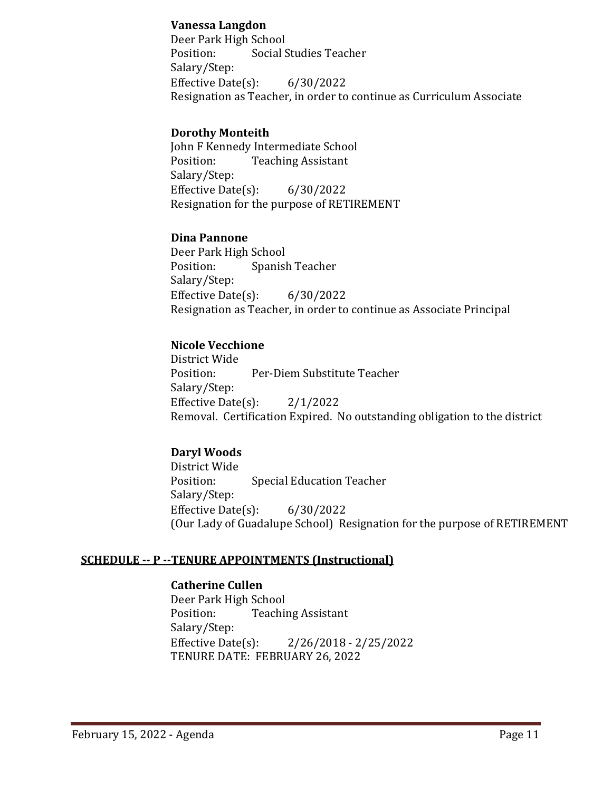## **Vanessa Langdon**

Deer Park High School<br>Position: Social S Social Studies Teacher Salary/Step: Effective Date(s): 6/30/2022 Resignation as Teacher, in order to continue as Curriculum Associate

## **Dorothy Monteith**

John F Kennedy Intermediate School **Teaching Assistant** Salary/Step: Effective Date(s): 6/30/2022 Resignation for the purpose of RETIREMENT

## **Dina Pannone**

Deer Park High School<br>Position: Spanisl Spanish Teacher Salary/Step: Effective Date $(s)$ : 6/30/2022 Resignation as Teacher, in order to continue as Associate Principal

## **Nicole Vecchione**

District Wide Per-Diem Substitute Teacher Salary/Step: Effective Date(s): 2/1/2022 Removal. Certification Expired. No outstanding obligation to the district

## **Daryl Woods**

District Wide **Special Education Teacher** Salary/Step: Effective Date(s): 6/30/2022 (Our Lady of Guadalupe School) Resignation for the purpose of RETIREMENT

## **SCHEDULE -- P --TENURE APPOINTMENTS (Instructional)**

## **Catherine Cullen**

Deer Park High School<br>Position: Teachir **Teaching Assistant** Salary/Step:<br>Effective Date(s): Effective Date(s): 2/26/2018 - 2/25/2022 TENURE DATE: FEBRUARY 26, 2022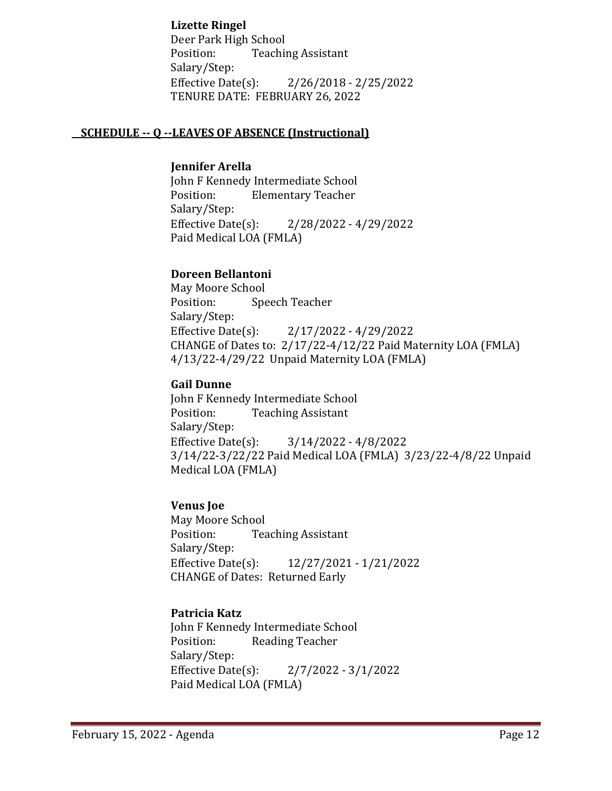**Lizette Ringel**

Deer Park High School Position: Teaching Assistant Salary/Step:<br>Effective Date(s): Effective Date(s): 2/26/2018 - 2/25/2022 TENURE DATE: FEBRUARY 26, 2022

## **SCHEDULE -- Q --LEAVES OF ABSENCE (Instructional)**

#### **Jennifer Arella**

John F Kennedy Intermediate School<br>Position: Flementary Teacher **Elementary Teacher** Salary/Step:<br>Effective Date(s): Effective Date(s): 2/28/2022 - 4/29/2022 Paid Medical LOA (FMLA)

## **Doreen Bellantoni**

May Moore School<br>Position: Spe Speech Teacher Salary/Step:<br>Effective Date(s): Effective Date(s): 2/17/2022 - 4/29/2022 CHANGE of Dates to: 2/17/22-4/12/22 Paid Maternity LOA (FMLA) 4/13/22-4/29/22 Unpaid Maternity LOA (FMLA)

## **Gail Dunne**

John F Kennedy Intermediate School<br>Position: Teaching Assistant **Teaching Assistant** Salary/Step:<br>Effective Date(s):  $3/14/2022 - 4/8/2022$ 3/14/22-3/22/22 Paid Medical LOA (FMLA) 3/23/22-4/8/22 Unpaid Medical LOA (FMLA)

## **Venus Joe**

May Moore School<br>Position: Tea **Teaching Assistant** Salary/Step:<br>Effective Date(s): Effective Date(s): 12/27/2021 - 1/21/2022 CHANGE of Dates: Returned Early

## **Patricia Katz**

John F Kennedy Intermediate School<br>Position: Reading Teacher Reading Teacher Salary/Step:<br>Effective Date(s):  $2/7/2022 - 3/1/2022$ Paid Medical LOA (FMLA)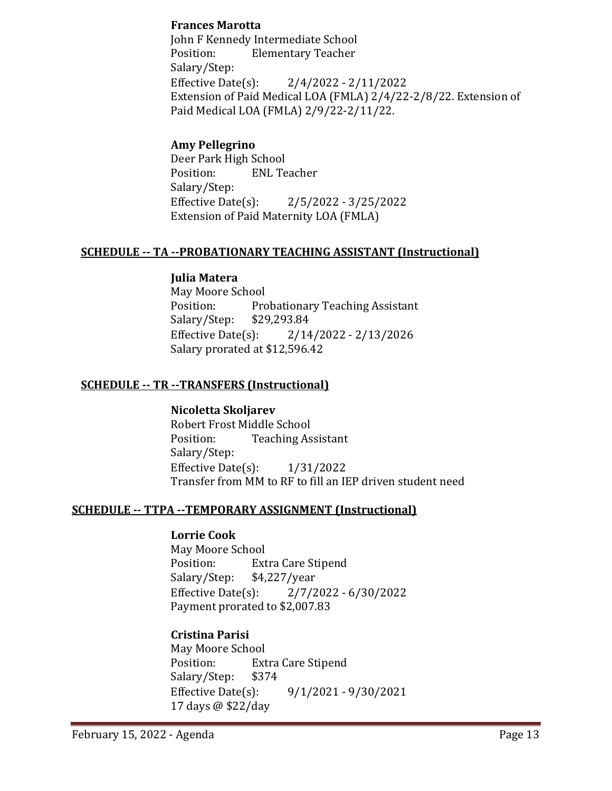## **Frances Marotta**

John F Kennedy Intermediate School Position: Elementary Teacher Salary/Step:<br>Effective Date(s):  $2/4/2022 - 2/11/2022$ Extension of Paid Medical LOA (FMLA) 2/4/22-2/8/22. Extension of Paid Medical LOA (FMLA) 2/9/22-2/11/22.

## **Amy Pellegrino**

Deer Park High School<br>Position: ENL Te **ENL Teacher** Salary/Step: Effective Date(s): 2/5/2022 - 3/25/2022 Extension of Paid Maternity LOA (FMLA)

## **SCHEDULE -- TA --PROBATIONARY TEACHING ASSISTANT (Instructional)**

## **Julia Matera**

May Moore School<br>Position: Pro Probationary Teaching Assistant<br>\$29,293.84 Salary/Step: \$2<br>Effective Date(s): Effective Date(s): 2/14/2022 - 2/13/2026 Salary prorated at \$12,596.42

## **SCHEDULE -- TR --TRANSFERS (Instructional)**

**Nicoletta Skoljarev** Robert Frost Middle School<br>Position: Teaching As **Teaching Assistant** Salary/Step: Effective Date(s): 1/31/2022 Transfer from MM to RF to fill an IEP driven student need

## **SCHEDULE -- TTPA --TEMPORARY ASSIGNMENT (Instructional)**

## **Lorrie Cook**

May Moore School<br>Position: Ext Extra Care Stipend<br>\$4,227/year Salary/Step: \$4<br>Effective Date(s): Effective Date(s): 2/7/2022 - 6/30/2022 Payment prorated to \$2,007.83

## **Cristina Parisi**

May Moore School<br>Position: Ext Extra Care Stipend<br>\$374 Salary/Step: \$3<br>Effective Date(s): Effective Date(s): 9/1/2021 - 9/30/2021 17 days @ \$22/day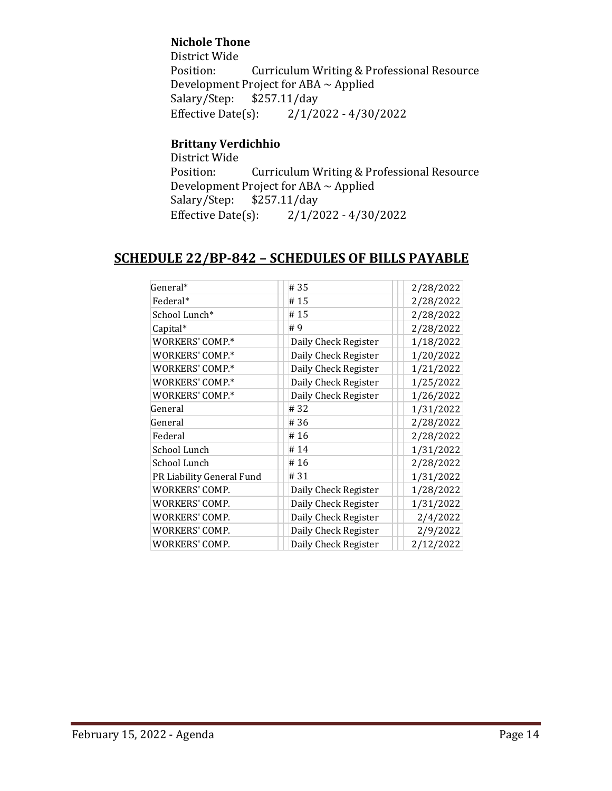## **Nichole Thone**

District Wide Curriculum Writing & Professional Resource Development Project for ABA  $\sim$  Applied<br>Salary/Step: \$257.11/day Salary/Step: \$257.11/day<br>Effective Date(s): 2/1/2  $2/1/2022 - 4/30/2022$ 

## **Brittany Verdichhio**

District Wide Curriculum Writing & Professional Resource Development Project for ABA  $\sim$  Applied<br>Salary/Step: \$257.11/day Salary/Step: \$2<br>Effective Date(s):  $2/1/2022 - 4/30/2022$ 

## **SCHEDULE 22/BP-842 – SCHEDULES OF BILLS PAYABLE**

| General*                  | #35                  | 2/28/2022 |
|---------------------------|----------------------|-----------|
| Federal*                  | #15                  | 2/28/2022 |
| School Lunch*             | #15                  | 2/28/2022 |
| Capital*                  | #9                   | 2/28/2022 |
| WORKERS' COMP.*           | Daily Check Register | 1/18/2022 |
| WORKERS' COMP.*           | Daily Check Register | 1/20/2022 |
| WORKERS' COMP.*           | Daily Check Register | 1/21/2022 |
| WORKERS' COMP.*           | Daily Check Register | 1/25/2022 |
| WORKERS' COMP.*           | Daily Check Register | 1/26/2022 |
| General                   | #32                  | 1/31/2022 |
| General                   | #36                  | 2/28/2022 |
| Federal                   | #16                  | 2/28/2022 |
| School Lunch              | #14                  | 1/31/2022 |
| School Lunch              | #16                  | 2/28/2022 |
| PR Liability General Fund | #31                  | 1/31/2022 |
| WORKERS' COMP.            | Daily Check Register | 1/28/2022 |
| WORKERS' COMP.            | Daily Check Register | 1/31/2022 |
| WORKERS' COMP.            | Daily Check Register | 2/4/2022  |
| WORKERS' COMP.            | Daily Check Register | 2/9/2022  |
| WORKERS' COMP.            | Daily Check Register | 2/12/2022 |
|                           |                      |           |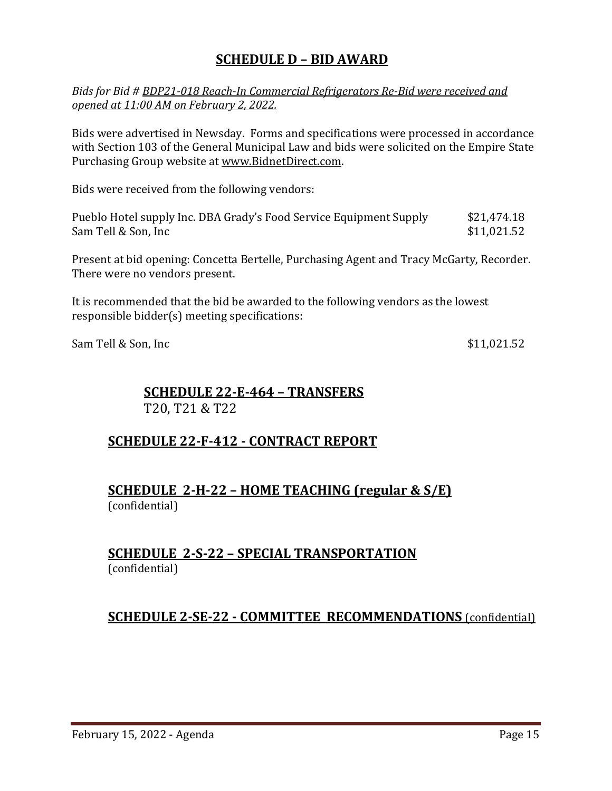## **SCHEDULE D – BID AWARD**

*Bids for Bid # BDP21-018 Reach-In Commercial Refrigerators Re-Bid were received and opened at 11:00 AM on February 2, 2022.*

Bids were advertised in Newsday. Forms and specifications were processed in accordance with Section 103 of the General Municipal Law and bids were solicited on the Empire State Purchasing Group website at [www.BidnetDirect.com.](http://www.bidnetdirect.com/)

Bids were received from the following vendors:

| Pueblo Hotel supply Inc. DBA Grady's Food Service Equipment Supply | \$21,474.18 |
|--------------------------------------------------------------------|-------------|
| Sam Tell & Son, Inc                                                | \$11,021.52 |

Present at bid opening: Concetta Bertelle, Purchasing Agent and Tracy McGarty, Recorder. There were no vendors present.

It is recommended that the bid be awarded to the following vendors as the lowest responsible bidder(s) meeting specifications:

Sam Tell & Son, Inc  $$11,021.52$ 

## **SCHEDULE 22-E-464 – TRANSFERS** T20, T21 & T22

## **SCHEDULE 22-F-412 - CONTRACT REPORT**

## **SCHEDULE 2-H-22 – HOME TEACHING (regular & S/E)**  (confidential)

## **SCHEDULE 2-S-22 – SPECIAL TRANSPORTATION**  (confidential)

## **SCHEDULE 2-SE-22 - COMMITTEE RECOMMENDATIONS** (confidential)